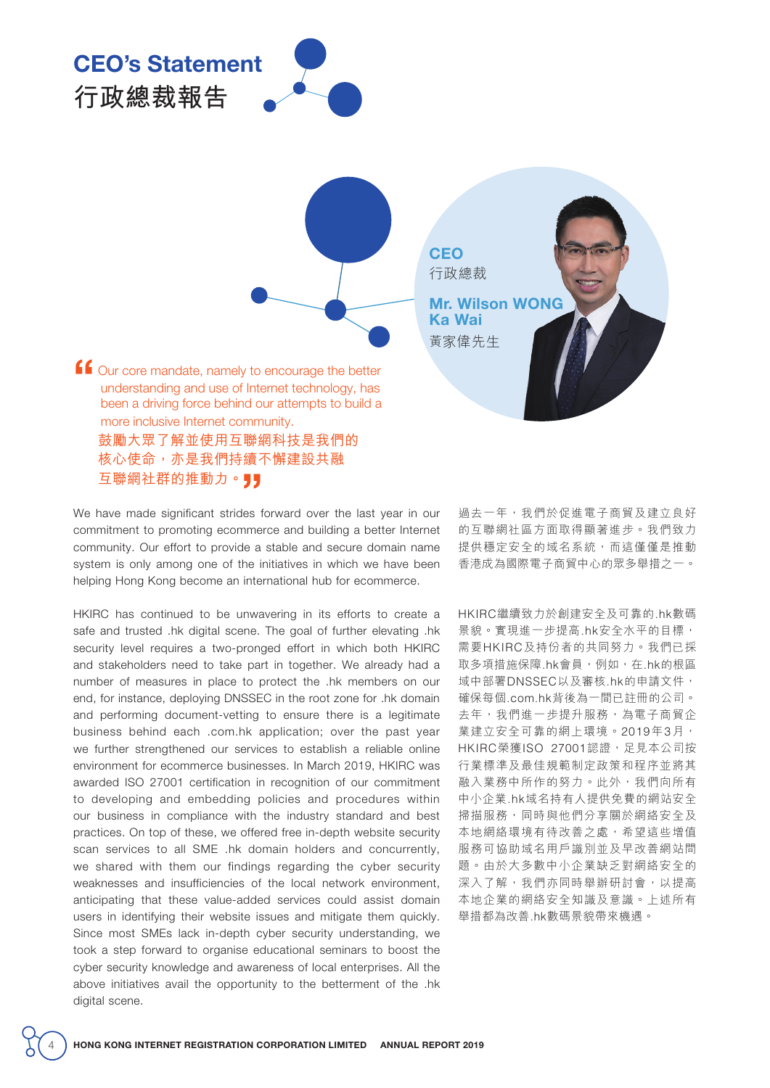## CEO's Statement **行政總裁報告**



four core mandate, namely to encourage the better<br>understanding and use of Internet technology, has understanding and use of Internet technology, has been a driving force behind our attempts to build a more inclusive Internet community. 鼓勵大眾了解並使用互聯網科技是我們的 核心使命,亦是我們持續不懈建設共融 互聯網社群的推動力。¶<mark>月</mark><br>nave.made.significant.strides.t

黃家偉先生 **CEO** 行政總裁 Mr. Wilson WONG Ka Wai

We have made significant strides forward over the last year in our commitment to promoting ecommerce and building a better Internet community. Our effort to provide a stable and secure domain name system is only among one of the initiatives in which we have been helping Hong Kong become an international hub for ecommerce.

HKIRC has continued to be unwavering in its efforts to create a safe and trusted .hk digital scene. The goal of further elevating .hk security level requires a two-pronged effort in which both HKIRC and stakeholders need to take part in together. We already had a number of measures in place to protect the .hk members on our end, for instance, deploying DNSSEC in the root zone for .hk domain and performing document-vetting to ensure there is a legitimate business behind each .com.hk application; over the past year we further strengthened our services to establish a reliable online environment for ecommerce businesses. In March 2019, HKIRC was awarded ISO 27001 certification in recognition of our commitment to developing and embedding policies and procedures within our business in compliance with the industry standard and best practices. On top of these, we offered free in-depth website security scan services to all SME .hk domain holders and concurrently, we shared with them our findings regarding the cyber security weaknesses and insufficiencies of the local network environment, anticipating that these value-added services could assist domain users in identifying their website issues and mitigate them quickly. Since most SMEs lack in-depth cyber security understanding, we took a step forward to organise educational seminars to boost the cyber security knowledge and awareness of local enterprises. All the above initiatives avail the opportunity to the betterment of the .hk digital scene.

過去一年,我們於促進電子商貿及建立良好 的互聯網社區方面取得顯著進步。我們致力 提供穩定安全的域名系統,而這僅僅是推動 香港成為國際電子商貿中心的眾多舉措之一。

HKIRC繼續致力於創建安全及可靠的.hk數碼 景貌。實現進一步提高.hk安全水平的目標, 需要HKIRC及持份者的共同努力。我們已採 取多項措施保障.hk會員,例如,在.hk的根區 域中部署DNSSEC以及審核.hk的申請文件, 確保每個.com.hk背後為一間已註冊的公司。 去年,我們進一步提升服務,為電子商貿企 業建立安全可靠的網上環境。2019年3月, HKIRC榮獲ISO 27001認證,足見本公司按 行業標準及最佳規範制定政策和程序並將其 融入業務中所作的努力。此外,我們向所有 中小企業.hk域名持有人提供免費的網站安全 掃描服務,同時與他們分享關於網絡安全及 本地網絡環境有待改善之處,希望這些增值 服務可協助域名用戶識別並及早改善網站問 題。由於大多數中小企業缺乏對網絡安全的 深入了解,我們亦同時舉辦研討會,以提高 本地企業的網絡安全知識及意識。上述所有 舉措都為改善.hk數碼景貌帶來機遇。